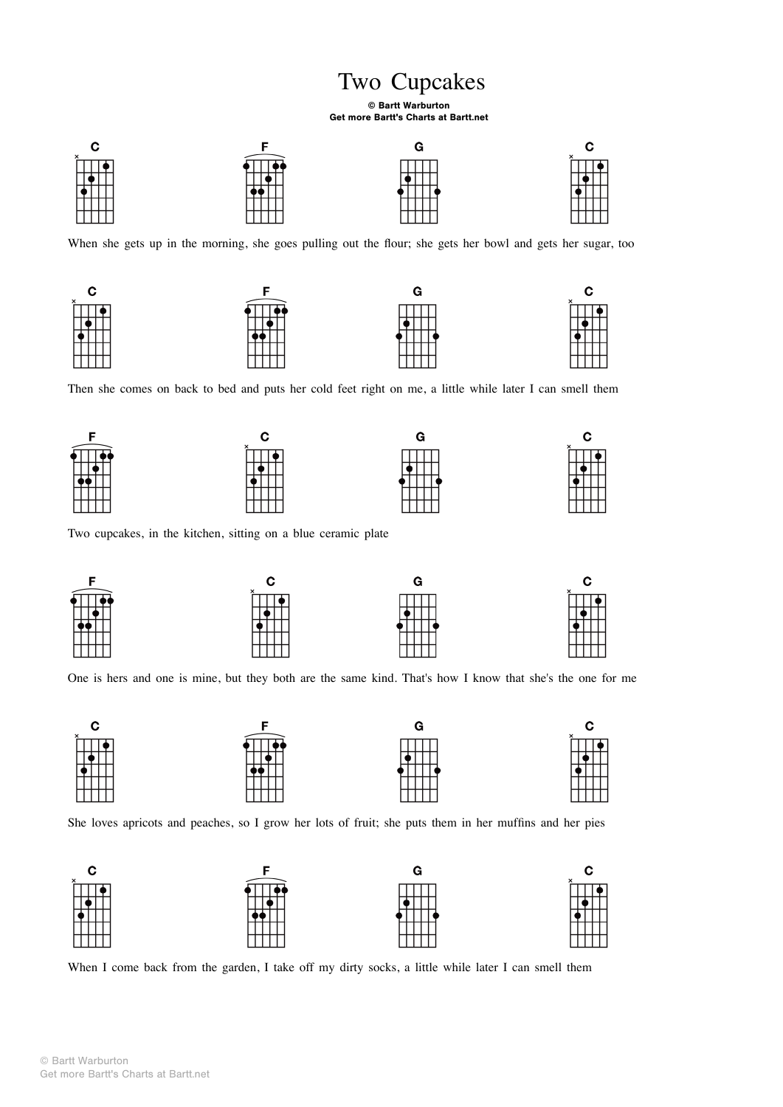## Two Cupcakes

## © Bartt Warburton Get more Bartt's Charts at Bartt.net



When she gets up in the morning, she goes pulling out the flour; she gets her bowl and gets her sugar, too



Then she comes on back to bed and puts her cold feet right on me, a little while later I can smell them











Two cupcakes, in the kitchen, sitting on a blue ceramic plate



One is hers and one is mine, but they both are the same kind. That's how I know that she's the one for me



She loves apricots and peaches, so I grow her lots of fruit; she puts them in her muffins and her pies



When I come back from the garden, I take off my dirty socks, a little while later I can smell them

© Bartt Warburton Get more Bartt's Charts at Bartt.net